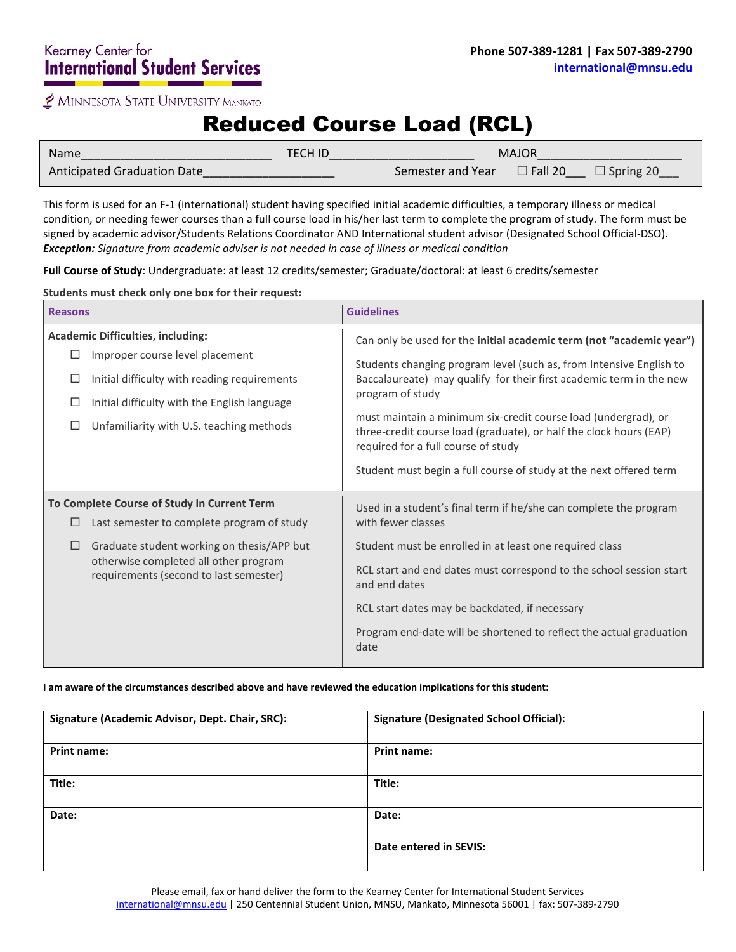MINNESOTA STATE UNIVERSITY MANKATO

# Reduced Course Load (RCL)

| Name                        | TECH ID |                   | <b>MAJOR</b>      |                  |
|-----------------------------|---------|-------------------|-------------------|------------------|
| Anticipated Graduation Date |         | Semester and Year | $\square$ Fall 20 | $\Box$ Spring 20 |

This form is used for an F-1 (international) student having specified initial academic difficulties, a temporary illness or medical condition, or needing fewer courses than a full course load in his/her last term to complete the program of study. The form must be signed by academic advisor/Students Relations Coordinator AND International student advisor (Designated School Official-DSO). *Exception: Signature from academic adviser is not needed in case of illness or medical condition*

**Full Course of Study**: Undergraduate: at least 12 credits/semester; Graduate/doctoral: at least 6 credits/semester

**Students must check only one box for their request:**

| <b>Reasons</b> |                                                                                                                                                                                                                            | <b>Guidelines</b>                                                                                                                                                                                                                                                                                                                                                                                                                                                                           |
|----------------|----------------------------------------------------------------------------------------------------------------------------------------------------------------------------------------------------------------------------|---------------------------------------------------------------------------------------------------------------------------------------------------------------------------------------------------------------------------------------------------------------------------------------------------------------------------------------------------------------------------------------------------------------------------------------------------------------------------------------------|
| ⊔<br>⊔         | <b>Academic Difficulties, including:</b><br>Improper course level placement<br>Initial difficulty with reading requirements<br>Initial difficulty with the English language<br>Unfamiliarity with U.S. teaching methods    | Can only be used for the initial academic term (not "academic year")<br>Students changing program level (such as, from Intensive English to<br>Baccalaureate) may qualify for their first academic term in the new<br>program of study<br>must maintain a minimum six-credit course load (undergrad), or<br>three-credit course load (graduate), or half the clock hours (EAP)<br>required for a full course of study<br>Student must begin a full course of study at the next offered term |
| □              | To Complete Course of Study In Current Term<br>Last semester to complete program of study<br>Graduate student working on thesis/APP but<br>otherwise completed all other program<br>requirements (second to last semester) | Used in a student's final term if he/she can complete the program<br>with fewer classes<br>Student must be enrolled in at least one required class<br>RCL start and end dates must correspond to the school session start<br>and end dates<br>RCL start dates may be backdated, if necessary<br>Program end-date will be shortened to reflect the actual graduation<br>date                                                                                                                 |

## **I am aware of the circumstances described above and have reviewed the education implications for this student:**

| Signature (Academic Advisor, Dept. Chair, SRC): | <b>Signature (Designated School Official):</b> |
|-------------------------------------------------|------------------------------------------------|
| <b>Print name:</b>                              | <b>Print name:</b>                             |
| Title:                                          | Title:                                         |
| Date:                                           | Date:                                          |
|                                                 | Date entered in SEVIS:                         |